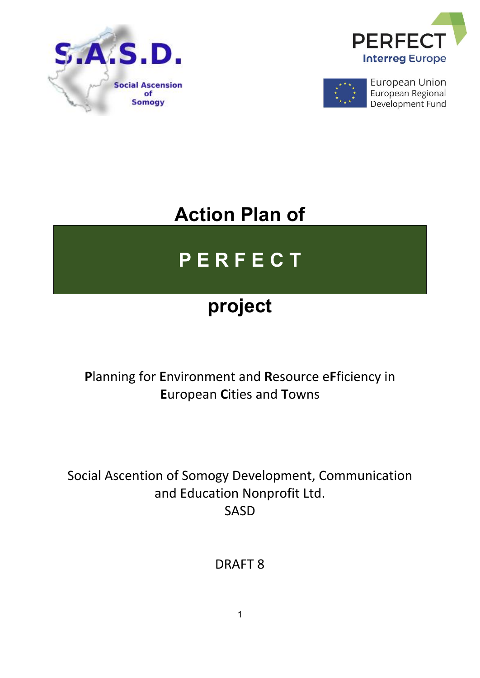





**European Union** European Regional Development Fund

# **Action Plan of**

# **P E R F E C T**

# **project**

## **P**lanning for **E**nvironment and **R**esource e**F**ficiency in **E**uropean **C**ities and **T**owns

Social Ascention of Somogy Development, Communication and Education Nonprofit Ltd. SASD

DRAFT 8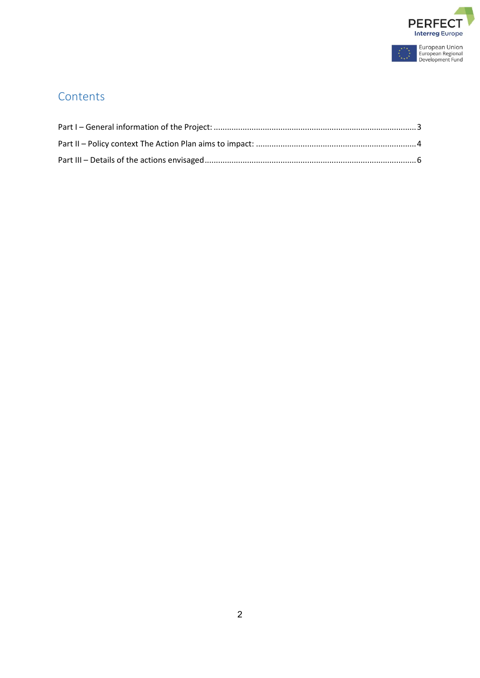

À,

## **Contents**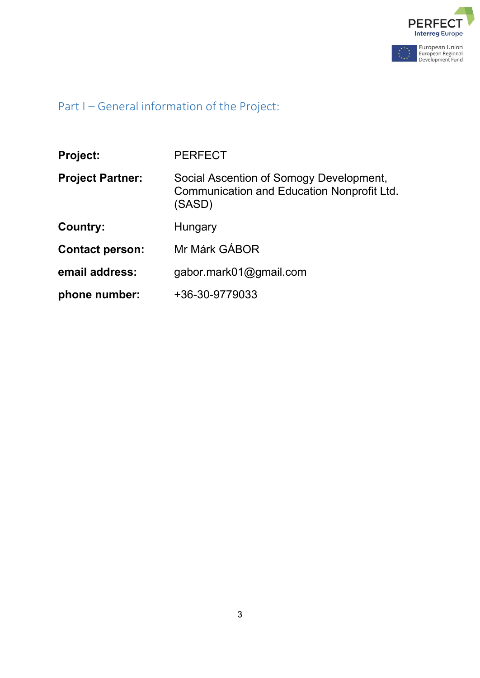

## <span id="page-2-0"></span>Part I – General information of the Project:

| <b>Project:</b>         | <b>PERFECT</b>                                                                                  |  |
|-------------------------|-------------------------------------------------------------------------------------------------|--|
| <b>Project Partner:</b> | Social Ascention of Somogy Development,<br>Communication and Education Nonprofit Ltd.<br>(SASD) |  |
| Country:                | Hungary                                                                                         |  |
| <b>Contact person:</b>  | Mr Márk GÁBOR                                                                                   |  |
| email address:          | gabor.mark01@gmail.com                                                                          |  |
| phone number:           | +36-30-9779033                                                                                  |  |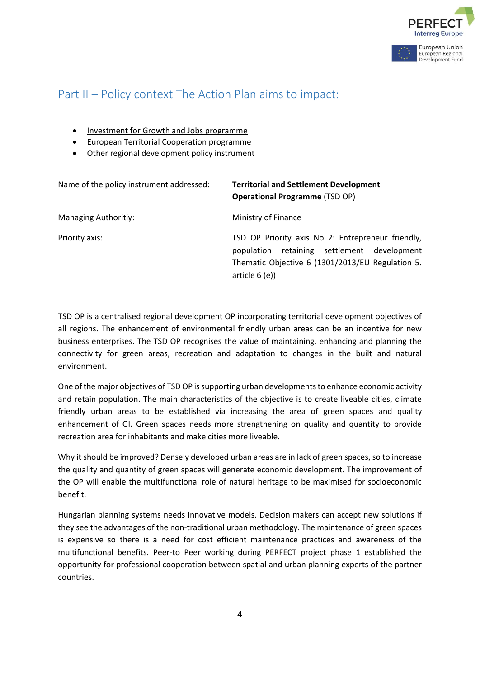

Development Fund

### <span id="page-3-0"></span>Part II – Policy context The Action Plan aims to impact:

- Investment for Growth and Jobs programme
- European Territorial Cooperation programme
- Other regional development policy instrument

| Name of the policy instrument addressed: | <b>Territorial and Settlement Development</b><br><b>Operational Programme (TSD OP)</b>                                                                                    |
|------------------------------------------|---------------------------------------------------------------------------------------------------------------------------------------------------------------------------|
| <b>Managing Authoritiy:</b>              | Ministry of Finance                                                                                                                                                       |
| Priority axis:                           | TSD OP Priority axis No 2: Entrepreneur friendly,<br>retaining settlement development<br>population<br>Thematic Objective 6 (1301/2013/EU Regulation 5.<br>article $6(e)$ |

TSD OP is a centralised regional development OP incorporating territorial development objectives of all regions. The enhancement of environmental friendly urban areas can be an incentive for new business enterprises. The TSD OP recognises the value of maintaining, enhancing and planning the connectivity for green areas, recreation and adaptation to changes in the built and natural environment.

One of the major objectives of TSD OP is supporting urban developments to enhance economic activity and retain population. The main characteristics of the objective is to create liveable cities, climate friendly urban areas to be established via increasing the area of green spaces and quality enhancement of GI. Green spaces needs more strengthening on quality and quantity to provide recreation area for inhabitants and make cities more liveable.

Why it should be improved? Densely developed urban areas are in lack of green spaces, so to increase the quality and quantity of green spaces will generate economic development. The improvement of the OP will enable the multifunctional role of natural heritage to be maximised for socioeconomic benefit.

Hungarian planning systems needs innovative models. Decision makers can accept new solutions if they see the advantages of the non-traditional urban methodology. The maintenance of green spaces is expensive so there is a need for cost efficient maintenance practices and awareness of the multifunctional benefits. Peer-to Peer working during PERFECT project phase 1 established the opportunity for professional cooperation between spatial and urban planning experts of the partner countries.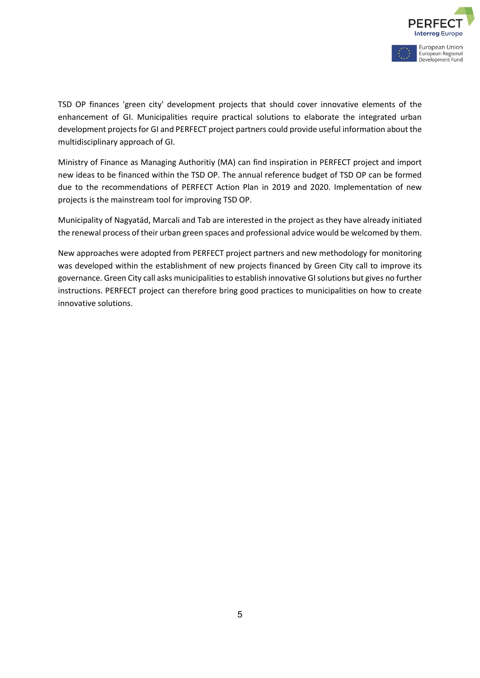

TSD OP finances 'green city' development projects that should cover innovative elements of the enhancement of GI. Municipalities require practical solutions to elaborate the integrated urban development projects for GI and PERFECT project partners could provide useful information about the multidisciplinary approach of GI.

Ministry of Finance as Managing Authoritiy (MA) can find inspiration in PERFECT project and import new ideas to be financed within the TSD OP. The annual reference budget of TSD OP can be formed due to the recommendations of PERFECT Action Plan in 2019 and 2020. Implementation of new projects is the mainstream tool for improving TSD OP.

Municipality of Nagyatád, Marcali and Tab are interested in the project as they have already initiated the renewal process of their urban green spaces and professional advice would be welcomed by them.

New approaches were adopted from PERFECT project partners and new methodology for monitoring was developed within the establishment of new projects financed by Green City call to improve its governance. Green City call asks municipalities to establish innovative GI solutions but gives no further instructions. PERFECT project can therefore bring good practices to municipalities on how to create innovative solutions.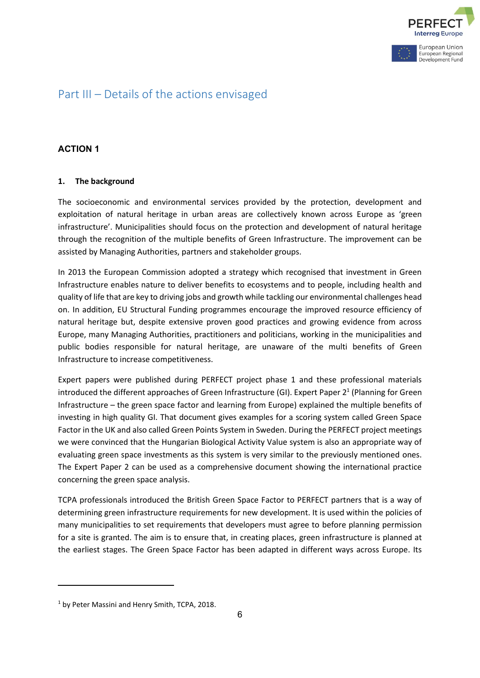

### <span id="page-5-0"></span>Part III – Details of the actions envisaged

#### **ACTION 1**

#### **1. The background**

The socioeconomic and environmental services provided by the protection, development and exploitation of natural heritage in urban areas are collectively known across Europe as 'green infrastructure'. Municipalities should focus on the protection and development of natural heritage through the recognition of the multiple benefits of Green Infrastructure. The improvement can be assisted by Managing Authorities, partners and stakeholder groups.

In 2013 the European Commission adopted a strategy which recognised that investment in Green Infrastructure enables nature to deliver benefits to ecosystems and to people, including health and quality of life that are key to driving jobs and growth while tackling our environmental challenges head on. In addition, EU Structural Funding programmes encourage the improved resource efficiency of natural heritage but, despite extensive proven good practices and growing evidence from across Europe, many Managing Authorities, practitioners and politicians, working in the municipalities and public bodies responsible for natural heritage, are unaware of the multi benefits of Green Infrastructure to increase competitiveness.

Expert papers were published during PERFECT project phase 1 and these professional materials introduced the different approaches of Green Infrastructure (GI). Expert Paper  $2<sup>1</sup>$  (Planning for Green Infrastructure – the green space factor and learning from Europe) explained the multiple benefits of investing in high quality GI. That document gives examples for a scoring system called Green Space Factor in the UK and also called Green Points System in Sweden. During the PERFECT project meetings we were convinced that the Hungarian Biological Activity Value system is also an appropriate way of evaluating green space investments as this system is very similar to the previously mentioned ones. The Expert Paper 2 can be used as a comprehensive document showing the international practice concerning the green space analysis.

TCPA professionals introduced the British Green Space Factor to PERFECT partners that is a way of determining green infrastructure requirements for new development. It is used within the policies of many municipalities to set requirements that developers must agree to before planning permission for a site is granted. The aim is to ensure that, in creating places, green infrastructure is planned at the earliest stages. The Green Space Factor has been adapted in different ways across Europe. Its

<sup>&</sup>lt;sup>1</sup> by Peter Massini and Henry Smith, TCPA, 2018.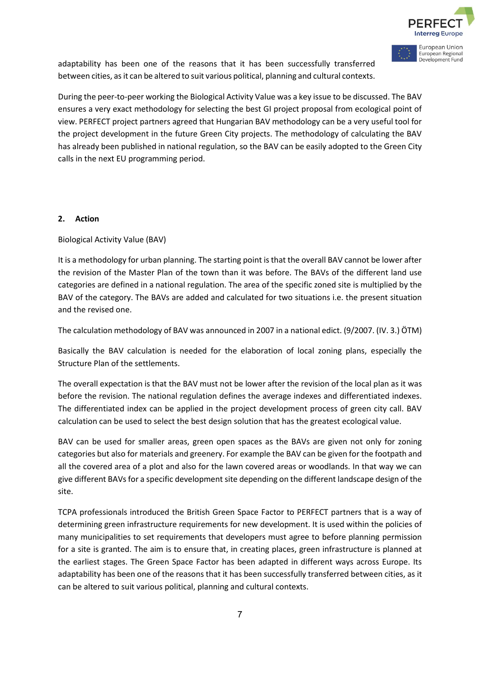

European Regional Development Fund

adaptability has been one of the reasons that it has been successfully transferred between cities, as it can be altered to suit various political, planning and cultural contexts.

During the peer-to-peer working the Biological Activity Value was a key issue to be discussed. The BAV ensures a very exact methodology for selecting the best GI project proposal from ecological point of view. PERFECT project partners agreed that Hungarian BAV methodology can be a very useful tool for the project development in the future Green City projects. The methodology of calculating the BAV has already been published in national regulation, so the BAV can be easily adopted to the Green City calls in the next EU programming period.

#### **2. Action**

Biological Activity Value (BAV)

It is a methodology for urban planning. The starting point is that the overall BAV cannot be lower after the revision of the Master Plan of the town than it was before. The BAVs of the different land use categories are defined in a national regulation. The area of the specific zoned site is multiplied by the BAV of the category. The BAVs are added and calculated for two situations i.e. the present situation and the revised one.

The calculation methodology of BAV was announced in 2007 in a national edict. (9/2007. (IV. 3.) ÖTM)

Basically the BAV calculation is needed for the elaboration of local zoning plans, especially the Structure Plan of the settlements.

The overall expectation is that the BAV must not be lower after the revision of the local plan as it was before the revision. The national regulation defines the average indexes and differentiated indexes. The differentiated index can be applied in the project development process of green city call. BAV calculation can be used to select the best design solution that has the greatest ecological value.

BAV can be used for smaller areas, green open spaces as the BAVs are given not only for zoning categories but also for materials and greenery. For example the BAV can be given for the footpath and all the covered area of a plot and also for the lawn covered areas or woodlands. In that way we can give different BAVs for a specific development site depending on the different landscape design of the site.

TCPA professionals introduced the British Green Space Factor to PERFECT partners that is a way of determining green infrastructure requirements for new development. It is used within the policies of many municipalities to set requirements that developers must agree to before planning permission for a site is granted. The aim is to ensure that, in creating places, green infrastructure is planned at the earliest stages. The Green Space Factor has been adapted in different ways across Europe. Its adaptability has been one of the reasons that it has been successfully transferred between cities, as it can be altered to suit various political, planning and cultural contexts.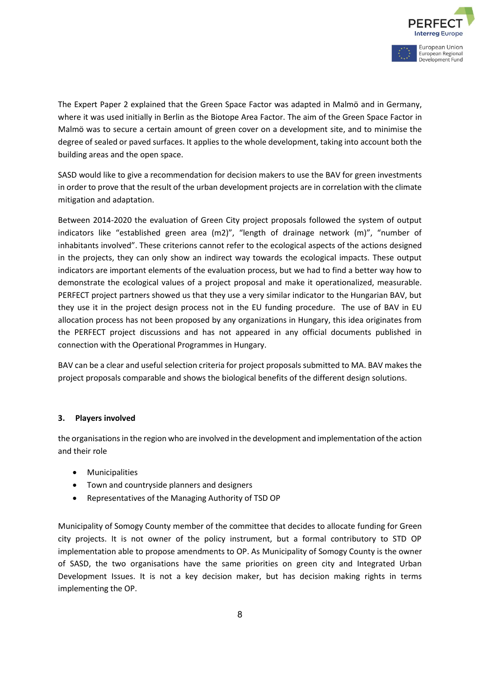

The Expert Paper 2 explained that the Green Space Factor was adapted in Malmö and in Germany, where it was used initially in Berlin as the Biotope Area Factor. The aim of the Green Space Factor in Malmö was to secure a certain amount of green cover on a development site, and to minimise the degree of sealed or paved surfaces. It applies to the whole development, taking into account both the building areas and the open space.

SASD would like to give a recommendation for decision makers to use the BAV for green investments in order to prove that the result of the urban development projects are in correlation with the climate mitigation and adaptation.

Between 2014-2020 the evaluation of Green City project proposals followed the system of output indicators like "established green area (m2)", "length of drainage network (m)", "number of inhabitants involved". These criterions cannot refer to the ecological aspects of the actions designed in the projects, they can only show an indirect way towards the ecological impacts. These output indicators are important elements of the evaluation process, but we had to find a better way how to demonstrate the ecological values of a project proposal and make it operationalized, measurable. PERFECT project partners showed us that they use a very similar indicator to the Hungarian BAV, but they use it in the project design process not in the EU funding procedure. The use of BAV in EU allocation process has not been proposed by any organizations in Hungary, this idea originates from the PERFECT project discussions and has not appeared in any official documents published in connection with the Operational Programmes in Hungary.

BAV can be a clear and useful selection criteria for project proposals submitted to MA. BAV makes the project proposals comparable and shows the biological benefits of the different design solutions.

#### **3. Players involved**

the organisations in the region who are involved in the development and implementation of the action and their role

- **Municipalities**
- Town and countryside planners and designers
- Representatives of the Managing Authority of TSD OP

Municipality of Somogy County member of the committee that decides to allocate funding for Green city projects. It is not owner of the policy instrument, but a formal contributory to STD OP implementation able to propose amendments to OP. As Municipality of Somogy County is the owner of SASD, the two organisations have the same priorities on green city and Integrated Urban Development Issues. It is not a key decision maker, but has decision making rights in terms implementing the OP.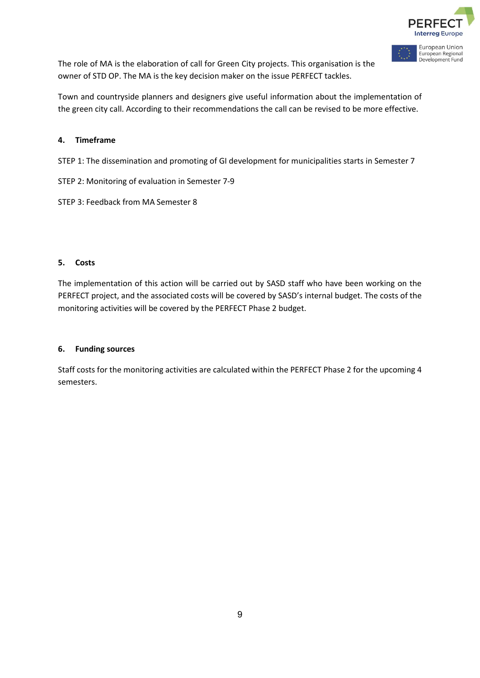

European Regional Development Fund

The role of MA is the elaboration of call for Green City projects. This organisation is the owner of STD OP. The MA is the key decision maker on the issue PERFECT tackles.

Town and countryside planners and designers give useful information about the implementation of the green city call. According to their recommendations the call can be revised to be more effective.

#### **4. Timeframe**

STEP 1: The dissemination and promoting of GI development for municipalities starts in Semester 7

- STEP 2: Monitoring of evaluation in Semester 7-9
- STEP 3: Feedback from MA Semester 8

#### **5. Costs**

The implementation of this action will be carried out by SASD staff who have been working on the PERFECT project, and the associated costs will be covered by SASD's internal budget. The costs of the monitoring activities will be covered by the PERFECT Phase 2 budget.

#### **6. Funding sources**

Staff costs for the monitoring activities are calculated within the PERFECT Phase 2 for the upcoming 4 semesters.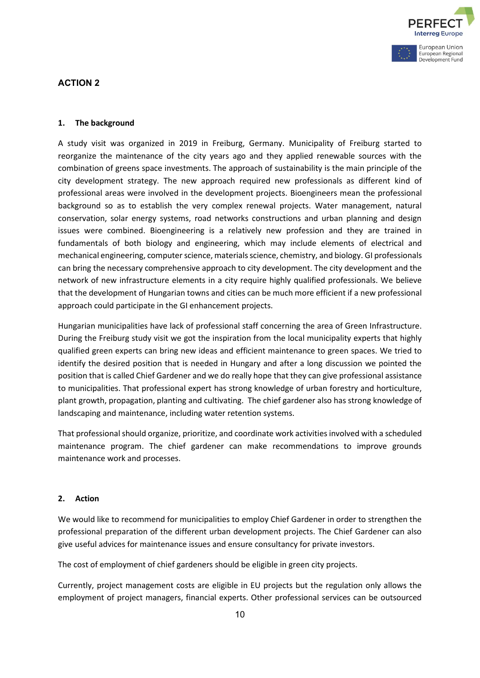

### **ACTION 2**

#### **1. The background**

A study visit was organized in 2019 in Freiburg, Germany. Municipality of Freiburg started to reorganize the maintenance of the city years ago and they applied renewable sources with the combination of greens space investments. The approach of sustainability is the main principle of the city development strategy. The new approach required new professionals as different kind of professional areas were involved in the development projects. Bioengineers mean the professional background so as to establish the very complex renewal projects. Water management, natural conservation, solar energy systems, road networks constructions and urban planning and design issues were combined. Bioengineering is a relatively new profession and they are trained in fundamentals of both biology and engineering, which may include elements of electrical and mechanical engineering, computer science, materials science, chemistry, and biology. GI professionals can bring the necessary comprehensive approach to city development. The city development and the network of new infrastructure elements in a city require highly qualified professionals. We believe that the development of Hungarian towns and cities can be much more efficient if a new professional approach could participate in the GI enhancement projects.

Hungarian municipalities have lack of professional staff concerning the area of Green Infrastructure. During the Freiburg study visit we got the inspiration from the local municipality experts that highly qualified green experts can bring new ideas and efficient maintenance to green spaces. We tried to identify the desired position that is needed in Hungary and after a long discussion we pointed the position that is called Chief Gardener and we do really hope that they can give professional assistance to municipalities. That professional expert has strong knowledge of urban forestry and horticulture, plant growth, propagation, planting and cultivating. The chief gardener also has strong knowledge of landscaping and maintenance, including water retention systems.

That professional should organize, prioritize, and coordinate work activities involved with a scheduled maintenance program. The chief gardener can make recommendations to improve grounds maintenance work and processes.

#### **2. Action**

We would like to recommend for municipalities to employ Chief Gardener in order to strengthen the professional preparation of the different urban development projects. The Chief Gardener can also give useful advices for maintenance issues and ensure consultancy for private investors.

The cost of employment of chief gardeners should be eligible in green city projects.

Currently, project management costs are eligible in EU projects but the regulation only allows the employment of project managers, financial experts. Other professional services can be outsourced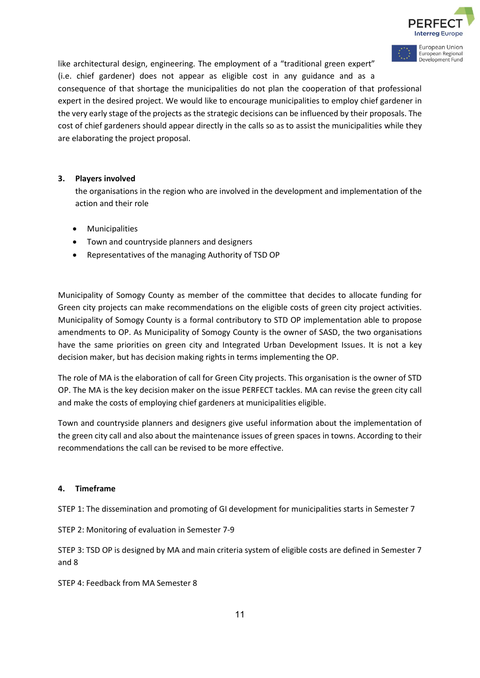

European Union

European Regional Development Fund like architectural design, engineering. The employment of a "traditional green expert" (i.e. chief gardener) does not appear as eligible cost in any guidance and as a consequence of that shortage the municipalities do not plan the cooperation of that professional expert in the desired project. We would like to encourage municipalities to employ chief gardener in the very early stage of the projects as the strategic decisions can be influenced by their proposals. The cost of chief gardeners should appear directly in the calls so as to assist the municipalities while they are elaborating the project proposal.

#### **3. Players involved**

the organisations in the region who are involved in the development and implementation of the action and their role

- **Municipalities**
- Town and countryside planners and designers
- Representatives of the managing Authority of TSD OP

Municipality of Somogy County as member of the committee that decides to allocate funding for Green city projects can make recommendations on the eligible costs of green city project activities. Municipality of Somogy County is a formal contributory to STD OP implementation able to propose amendments to OP. As Municipality of Somogy County is the owner of SASD, the two organisations have the same priorities on green city and Integrated Urban Development Issues. It is not a key decision maker, but has decision making rights in terms implementing the OP.

The role of MA is the elaboration of call for Green City projects. This organisation is the owner of STD OP. The MA is the key decision maker on the issue PERFECT tackles. MA can revise the green city call and make the costs of employing chief gardeners at municipalities eligible.

Town and countryside planners and designers give useful information about the implementation of the green city call and also about the maintenance issues of green spaces in towns. According to their recommendations the call can be revised to be more effective.

#### **4. Timeframe**

STEP 1: The dissemination and promoting of GI development for municipalities starts in Semester 7

STEP 2: Monitoring of evaluation in Semester 7-9

STEP 3: TSD OP is designed by MA and main criteria system of eligible costs are defined in Semester 7 and 8

STEP 4: Feedback from MA Semester 8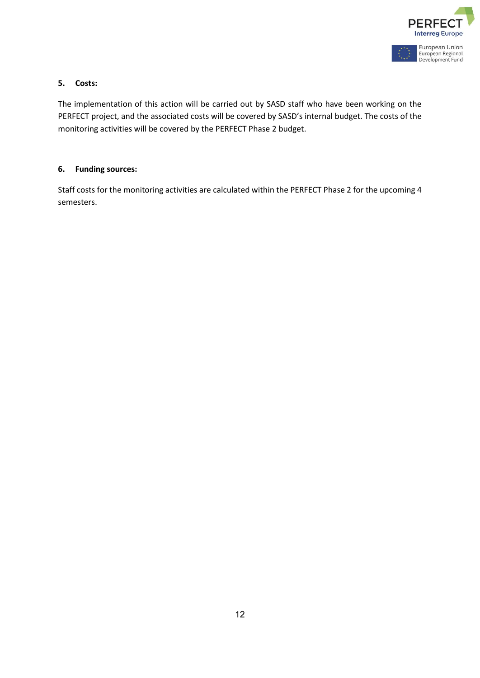

#### **5. Costs:**

The implementation of this action will be carried out by SASD staff who have been working on the PERFECT project, and the associated costs will be covered by SASD's internal budget. The costs of the monitoring activities will be covered by the PERFECT Phase 2 budget.

#### **6. Funding sources:**

Staff costs for the monitoring activities are calculated within the PERFECT Phase 2 for the upcoming 4 semesters.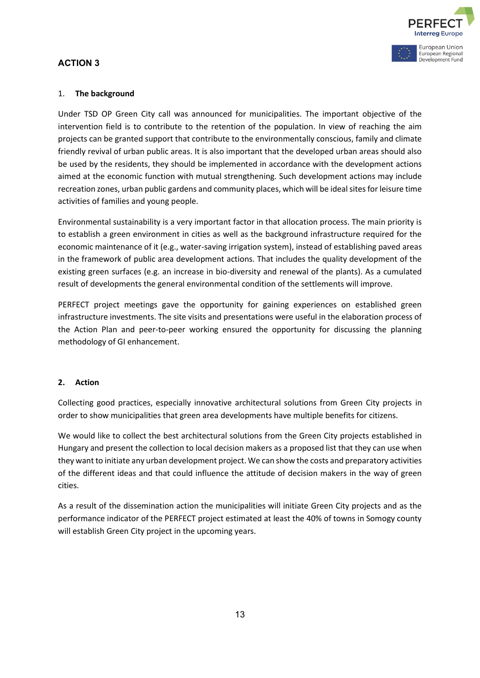

### **ACTION 3**

#### 1. **The background**

Under TSD OP Green City call was announced for municipalities. The important objective of the intervention field is to contribute to the retention of the population. In view of reaching the aim projects can be granted support that contribute to the environmentally conscious, family and climate friendly revival of urban public areas. It is also important that the developed urban areas should also be used by the residents, they should be implemented in accordance with the development actions aimed at the economic function with mutual strengthening. Such development actions may include recreation zones, urban public gardens and community places, which will be ideal sites for leisure time activities of families and young people.

Environmental sustainability is a very important factor in that allocation process. The main priority is to establish a green environment in cities as well as the background infrastructure required for the economic maintenance of it (e.g., water-saving irrigation system), instead of establishing paved areas in the framework of public area development actions. That includes the quality development of the existing green surfaces (e.g. an increase in bio-diversity and renewal of the plants). As a cumulated result of developments the general environmental condition of the settlements will improve.

PERFECT project meetings gave the opportunity for gaining experiences on established green infrastructure investments. The site visits and presentations were useful in the elaboration process of the Action Plan and peer-to-peer working ensured the opportunity for discussing the planning methodology of GI enhancement.

#### **2. Action**

Collecting good practices, especially innovative architectural solutions from Green City projects in order to show municipalities that green area developments have multiple benefits for citizens.

We would like to collect the best architectural solutions from the Green City projects established in Hungary and present the collection to local decision makers as a proposed list that they can use when they want to initiate any urban development project. We can show the costs and preparatory activities of the different ideas and that could influence the attitude of decision makers in the way of green cities.

As a result of the dissemination action the municipalities will initiate Green City projects and as the performance indicator of the PERFECT project estimated at least the 40% of towns in Somogy county will establish Green City project in the upcoming years.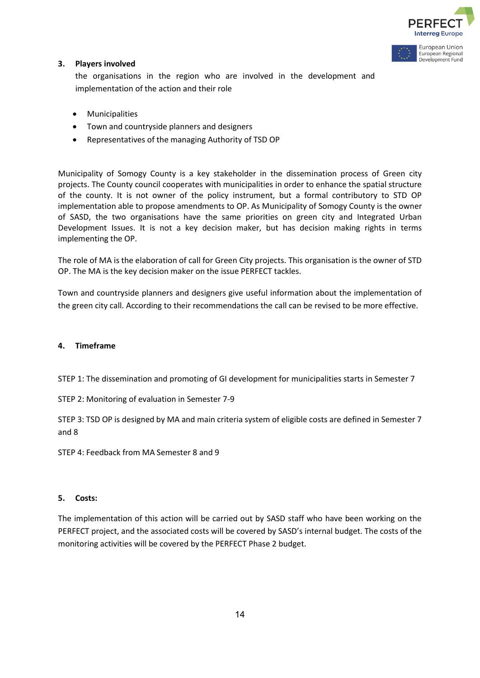

Development Fund

#### **3. Players involved**

the organisations in the region who are involved in the development and implementation of the action and their role

- Municipalities
- Town and countryside planners and designers
- Representatives of the managing Authority of TSD OP

Municipality of Somogy County is a key stakeholder in the dissemination process of Green city projects. The County council cooperates with municipalities in order to enhance the spatial structure of the county. It is not owner of the policy instrument, but a formal contributory to STD OP implementation able to propose amendments to OP. As Municipality of Somogy County is the owner of SASD, the two organisations have the same priorities on green city and Integrated Urban Development Issues. It is not a key decision maker, but has decision making rights in terms implementing the OP.

The role of MA is the elaboration of call for Green City projects. This organisation is the owner of STD OP. The MA is the key decision maker on the issue PERFECT tackles.

Town and countryside planners and designers give useful information about the implementation of the green city call. According to their recommendations the call can be revised to be more effective.

#### **4. Timeframe**

STEP 1: The dissemination and promoting of GI development for municipalities starts in Semester 7

STEP 2: Monitoring of evaluation in Semester 7-9

STEP 3: TSD OP is designed by MA and main criteria system of eligible costs are defined in Semester 7 and 8

STEP 4: Feedback from MA Semester 8 and 9

#### **5. Costs:**

The implementation of this action will be carried out by SASD staff who have been working on the PERFECT project, and the associated costs will be covered by SASD's internal budget. The costs of the monitoring activities will be covered by the PERFECT Phase 2 budget.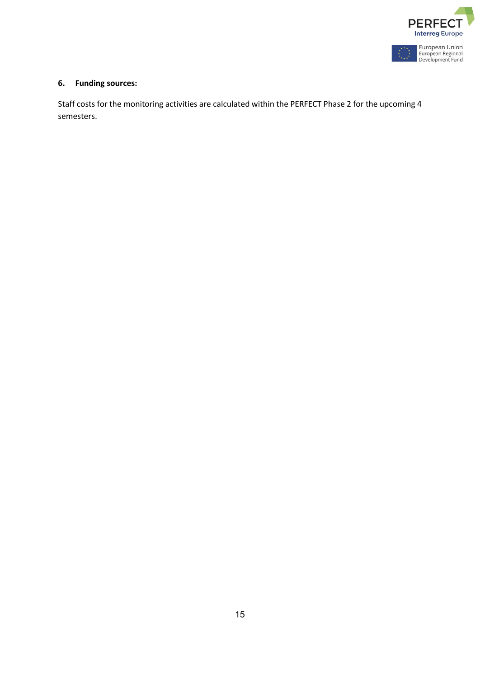

### **6. Funding sources:**

Staff costs for the monitoring activities are calculated within the PERFECT Phase 2 for the upcoming 4 semesters.